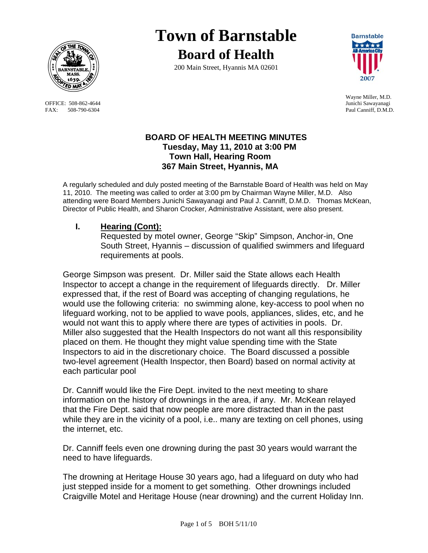

OFFICE: 508-862-4644 FAX: 508-790-6304 Paul Canniff, D.M.D.

# **Town of Barnstable Board of Health**

200 Main Street, Hyannis MA 02601



Wayne Miller, M.D.

## **BOARD OF HEALTH MEETING MINUTES Tuesday, May 11, 2010 at 3:00 PM Town Hall, Hearing Room 367 Main Street, Hyannis, MA**

A regularly scheduled and duly posted meeting of the Barnstable Board of Health was held on May 11, 2010. The meeting was called to order at 3:00 pm by Chairman Wayne Miller, M.D. Also attending were Board Members Junichi Sawayanagi and Paul J. Canniff, D.M.D. Thomas McKean, Director of Public Health, and Sharon Crocker, Administrative Assistant, were also present.

## **I. Hearing (Cont):**

Requested by motel owner, George "Skip" Simpson, Anchor-in, One South Street, Hyannis – discussion of qualified swimmers and lifeguard requirements at pools.

George Simpson was present. Dr. Miller said the State allows each Health Inspector to accept a change in the requirement of lifeguards directly. Dr. Miller expressed that, if the rest of Board was accepting of changing regulations, he would use the following criteria: no swimming alone, key-access to pool when no lifeguard working, not to be applied to wave pools, appliances, slides, etc, and he would not want this to apply where there are types of activities in pools. Dr. Miller also suggested that the Health Inspectors do not want all this responsibility placed on them. He thought they might value spending time with the State Inspectors to aid in the discretionary choice. The Board discussed a possible two-level agreement (Health Inspector, then Board) based on normal activity at each particular pool

Dr. Canniff would like the Fire Dept. invited to the next meeting to share information on the history of drownings in the area, if any. Mr. McKean relayed that the Fire Dept. said that now people are more distracted than in the past while they are in the vicinity of a pool, i.e.. many are texting on cell phones, using the internet, etc.

Dr. Canniff feels even one drowning during the past 30 years would warrant the need to have lifeguards.

The drowning at Heritage House 30 years ago, had a lifeguard on duty who had just stepped inside for a moment to get something. Other drownings included Craigville Motel and Heritage House (near drowning) and the current Holiday Inn.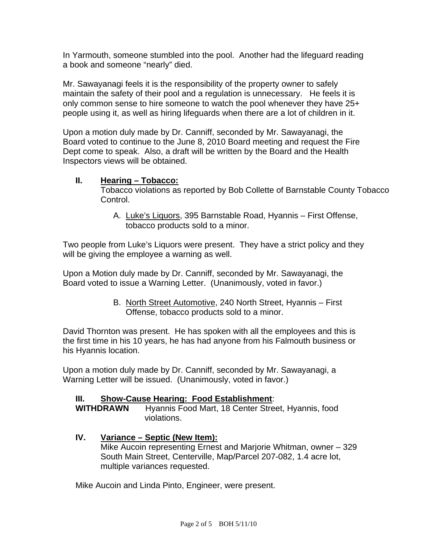In Yarmouth, someone stumbled into the pool. Another had the lifeguard reading a book and someone "nearly" died.

Mr. Sawayanagi feels it is the responsibility of the property owner to safely maintain the safety of their pool and a regulation is unnecessary. He feels it is only common sense to hire someone to watch the pool whenever they have 25+ people using it, as well as hiring lifeguards when there are a lot of children in it.

Upon a motion duly made by Dr. Canniff, seconded by Mr. Sawayanagi, the Board voted to continue to the June 8, 2010 Board meeting and request the Fire Dept come to speak. Also, a draft will be written by the Board and the Health Inspectors views will be obtained.

## **II. Hearing – Tobacco:**

Tobacco violations as reported by Bob Collette of Barnstable County Tobacco Control.

A. Luke's Liquors, 395 Barnstable Road, Hyannis – First Offense, tobacco products sold to a minor.

Two people from Luke's Liquors were present. They have a strict policy and they will be giving the employee a warning as well.

Upon a Motion duly made by Dr. Canniff, seconded by Mr. Sawayanagi, the Board voted to issue a Warning Letter. (Unanimously, voted in favor.)

> B. North Street Automotive, 240 North Street, Hyannis – First Offense, tobacco products sold to a minor.

David Thornton was present. He has spoken with all the employees and this is the first time in his 10 years, he has had anyone from his Falmouth business or his Hyannis location.

Upon a motion duly made by Dr. Canniff, seconded by Mr. Sawayanagi, a Warning Letter will be issued. (Unanimously, voted in favor.)

#### **III. Show-Cause Hearing: Food Establishment**:

**WITHDRAWN** Hyannis Food Mart, 18 Center Street, Hyannis, food violations.

## **IV. Variance – Septic (New Item):**

Mike Aucoin representing Ernest and Marjorie Whitman, owner – 329 South Main Street, Centerville, Map/Parcel 207-082, 1.4 acre lot, multiple variances requested.

Mike Aucoin and Linda Pinto, Engineer, were present.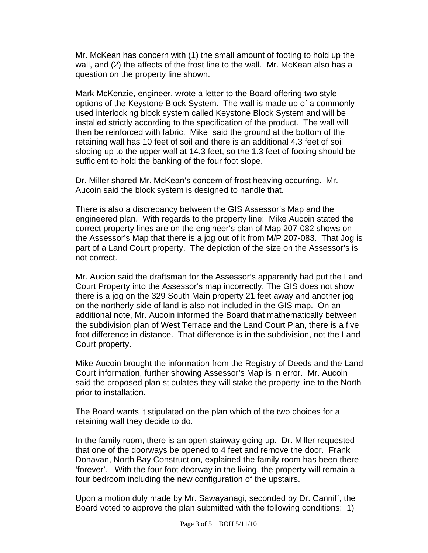Mr. McKean has concern with (1) the small amount of footing to hold up the wall, and (2) the affects of the frost line to the wall. Mr. McKean also has a question on the property line shown.

Mark McKenzie, engineer, wrote a letter to the Board offering two style options of the Keystone Block System. The wall is made up of a commonly used interlocking block system called Keystone Block System and will be installed strictly according to the specification of the product. The wall will then be reinforced with fabric. Mike said the ground at the bottom of the retaining wall has 10 feet of soil and there is an additional 4.3 feet of soil sloping up to the upper wall at 14.3 feet, so the 1.3 feet of footing should be sufficient to hold the banking of the four foot slope.

Dr. Miller shared Mr. McKean's concern of frost heaving occurring. Mr. Aucoin said the block system is designed to handle that.

There is also a discrepancy between the GIS Assessor's Map and the engineered plan. With regards to the property line: Mike Aucoin stated the correct property lines are on the engineer's plan of Map 207-082 shows on the Assessor's Map that there is a jog out of it from M/P 207-083. That Jog is part of a Land Court property. The depiction of the size on the Assessor's is not correct.

Mr. Aucion said the draftsman for the Assessor's apparently had put the Land Court Property into the Assessor's map incorrectly. The GIS does not show there is a jog on the 329 South Main property 21 feet away and another jog on the northerly side of land is also not included in the GIS map. On an additional note, Mr. Aucoin informed the Board that mathematically between the subdivision plan of West Terrace and the Land Court Plan, there is a five foot difference in distance. That difference is in the subdivision, not the Land Court property.

Mike Aucoin brought the information from the Registry of Deeds and the Land Court information, further showing Assessor's Map is in error. Mr. Aucoin said the proposed plan stipulates they will stake the property line to the North prior to installation.

The Board wants it stipulated on the plan which of the two choices for a retaining wall they decide to do.

In the family room, there is an open stairway going up. Dr. Miller requested that one of the doorways be opened to 4 feet and remove the door. Frank Donavan, North Bay Construction, explained the family room has been there 'forever'. With the four foot doorway in the living, the property will remain a four bedroom including the new configuration of the upstairs.

Upon a motion duly made by Mr. Sawayanagi, seconded by Dr. Canniff, the Board voted to approve the plan submitted with the following conditions: 1)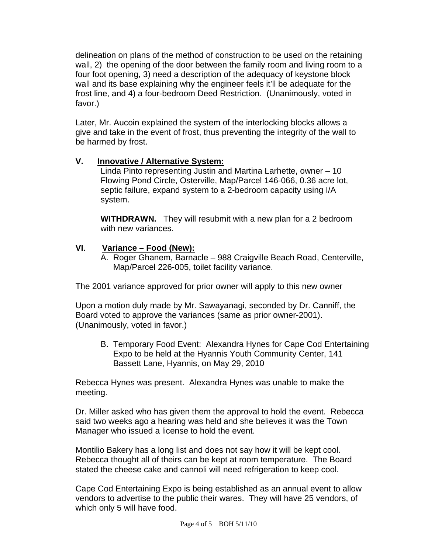delineation on plans of the method of construction to be used on the retaining wall, 2) the opening of the door between the family room and living room to a four foot opening, 3) need a description of the adequacy of keystone block wall and its base explaining why the engineer feels it'll be adequate for the frost line, and 4) a four-bedroom Deed Restriction. (Unanimously, voted in favor.)

Later, Mr. Aucoin explained the system of the interlocking blocks allows a give and take in the event of frost, thus preventing the integrity of the wall to be harmed by frost.

## **V. Innovative / Alternative System:**

Linda Pinto representing Justin and Martina Larhette, owner – 10 Flowing Pond Circle, Osterville, Map/Parcel 146-066, 0.36 acre lot, septic failure, expand system to a 2-bedroom capacity using I/A system.

**WITHDRAWN.** They will resubmit with a new plan for a 2 bedroom with new variances.

## **VI**. **Variance – Food (New):**

A. Roger Ghanem, Barnacle – 988 Craigville Beach Road, Centerville, Map/Parcel 226-005, toilet facility variance.

The 2001 variance approved for prior owner will apply to this new owner

Upon a motion duly made by Mr. Sawayanagi, seconded by Dr. Canniff, the Board voted to approve the variances (same as prior owner-2001). (Unanimously, voted in favor.)

B. Temporary Food Event: Alexandra Hynes for Cape Cod Entertaining Expo to be held at the Hyannis Youth Community Center, 141 Bassett Lane, Hyannis, on May 29, 2010

Rebecca Hynes was present. Alexandra Hynes was unable to make the meeting.

Dr. Miller asked who has given them the approval to hold the event. Rebecca said two weeks ago a hearing was held and she believes it was the Town Manager who issued a license to hold the event.

Montilio Bakery has a long list and does not say how it will be kept cool. Rebecca thought all of theirs can be kept at room temperature. The Board stated the cheese cake and cannoli will need refrigeration to keep cool.

Cape Cod Entertaining Expo is being established as an annual event to allow vendors to advertise to the public their wares. They will have 25 vendors, of which only 5 will have food.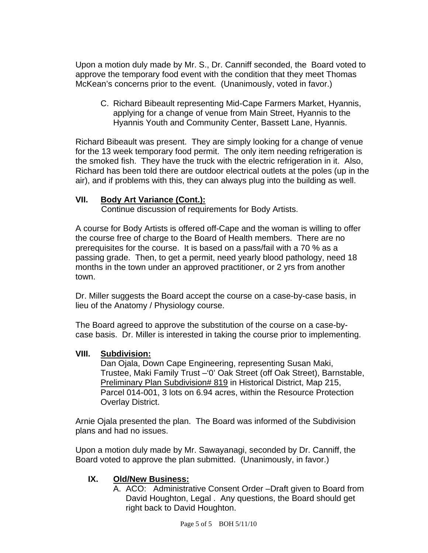Upon a motion duly made by Mr. S., Dr. Canniff seconded, the Board voted to approve the temporary food event with the condition that they meet Thomas McKean's concerns prior to the event. (Unanimously, voted in favor.)

C. Richard Bibeault representing Mid-Cape Farmers Market, Hyannis, applying for a change of venue from Main Street, Hyannis to the Hyannis Youth and Community Center, Bassett Lane, Hyannis.

Richard Bibeault was present. They are simply looking for a change of venue for the 13 week temporary food permit. The only item needing refrigeration is the smoked fish. They have the truck with the electric refrigeration in it. Also, Richard has been told there are outdoor electrical outlets at the poles (up in the air), and if problems with this, they can always plug into the building as well.

## **VII. Body Art Variance (Cont.):**

Continue discussion of requirements for Body Artists.

A course for Body Artists is offered off-Cape and the woman is willing to offer the course free of charge to the Board of Health members. There are no prerequisites for the course. It is based on a pass/fail with a 70 % as a passing grade. Then, to get a permit, need yearly blood pathology, need 18 months in the town under an approved practitioner, or 2 yrs from another town.

Dr. Miller suggests the Board accept the course on a case-by-case basis, in lieu of the Anatomy / Physiology course.

The Board agreed to approve the substitution of the course on a case-bycase basis. Dr. Miller is interested in taking the course prior to implementing.

#### **VIII. Subdivision:**

Dan Ojala, Down Cape Engineering, representing Susan Maki, Trustee, Maki Family Trust –'0' Oak Street (off Oak Street), Barnstable, Preliminary Plan Subdivision# 819 in Historical District, Map 215, Parcel 014-001, 3 lots on 6.94 acres, within the Resource Protection Overlay District.

Arnie Ojala presented the plan. The Board was informed of the Subdivision plans and had no issues.

Upon a motion duly made by Mr. Sawayanagi, seconded by Dr. Canniff, the Board voted to approve the plan submitted. (Unanimously, in favor.)

#### **IX. Old/New Business:**

A.ACO: Administrative Consent Order –Draft given to Board from David Houghton, Legal . Any questions, the Board should get right back to David Houghton.